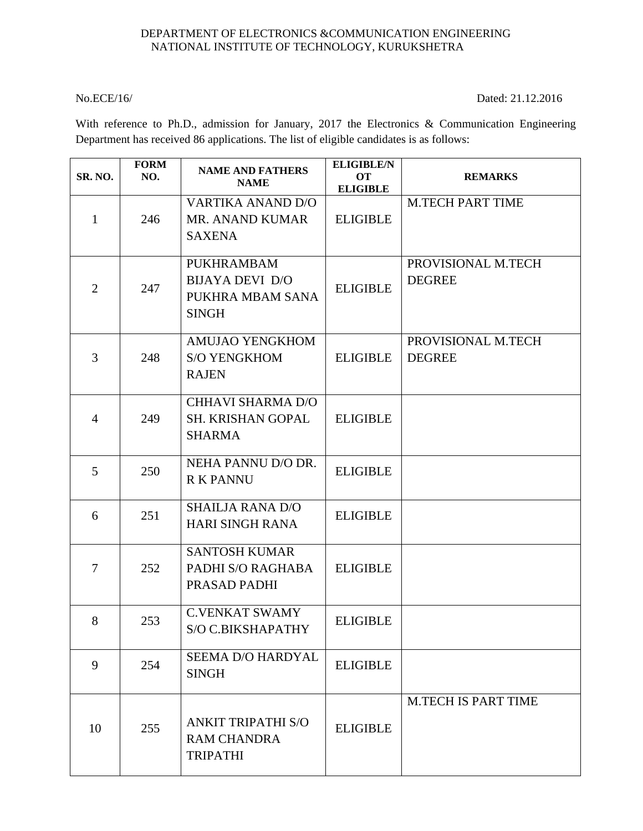## DEPARTMENT OF ELECTRONICS &COMMUNICATION ENGINEERING NATIONAL INSTITUTE OF TECHNOLOGY, KURUKSHETRA

No.ECE/16/ Dated: 21.12.2016

With reference to Ph.D., admission for January, 2017 the Electronics & Communication Engineering Department has received 86 applications. The list of eligible candidates is as follows:

| <b>SR. NO.</b> | <b>FORM</b><br>NO. | <b>NAME AND FATHERS</b><br><b>NAME</b>                                          | <b>ELIGIBLE/N</b><br><b>OT</b><br><b>ELIGIBLE</b> | <b>REMARKS</b>                      |
|----------------|--------------------|---------------------------------------------------------------------------------|---------------------------------------------------|-------------------------------------|
| $\mathbf{1}$   | 246                | <b>VARTIKA ANAND D/O</b><br>MR. ANAND KUMAR<br><b>SAXENA</b>                    | <b>ELIGIBLE</b>                                   | <b>M.TECH PART TIME</b>             |
| $\overline{2}$ | 247                | <b>PUKHRAMBAM</b><br><b>BIJAYA DEVI D/O</b><br>PUKHRA MBAM SANA<br><b>SINGH</b> | <b>ELIGIBLE</b>                                   | PROVISIONAL M.TECH<br><b>DEGREE</b> |
| 3              | 248                | <b>AMUJAO YENGKHOM</b><br><b>S/O YENGKHOM</b><br><b>RAJEN</b>                   | <b>ELIGIBLE</b>                                   | PROVISIONAL M.TECH<br><b>DEGREE</b> |
| $\overline{4}$ | 249                | <b>CHHAVI SHARMA D/O</b><br><b>SH. KRISHAN GOPAL</b><br><b>SHARMA</b>           | <b>ELIGIBLE</b>                                   |                                     |
| 5              | 250                | NEHA PANNU D/O DR.<br><b>R K PANNU</b>                                          | <b>ELIGIBLE</b>                                   |                                     |
| 6              | 251                | <b>SHAILJA RANA D/O</b><br><b>HARI SINGH RANA</b>                               | <b>ELIGIBLE</b>                                   |                                     |
| $\overline{7}$ | 252                | <b>SANTOSH KUMAR</b><br>PADHI S/O RAGHABA<br>PRASAD PADHI                       | <b>ELIGIBLE</b>                                   |                                     |
| 8              | 253                | <b>C.VENKAT SWAMY</b><br>S/O C.BIKSHAPATHY                                      | <b>ELIGIBLE</b>                                   |                                     |
| 9              | 254                | <b>SEEMA D/O HARDYAL</b><br><b>SINGH</b>                                        | <b>ELIGIBLE</b>                                   |                                     |
| 10             | 255                | <b>ANKIT TRIPATHI S/O</b><br><b>RAM CHANDRA</b><br><b>TRIPATHI</b>              | <b>ELIGIBLE</b>                                   | <b>M.TECH IS PART TIME</b>          |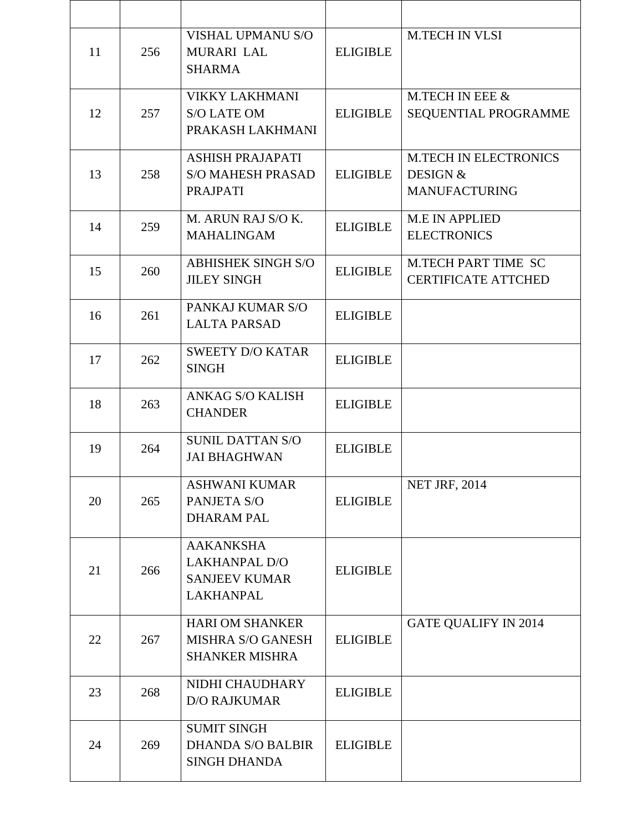| 11 | 256 | <b>VISHAL UPMANU S/O</b><br><b>MURARI LAL</b><br><b>SHARMA</b>                | <b>ELIGIBLE</b> | <b>M.TECH IN VLSI</b>                                                       |
|----|-----|-------------------------------------------------------------------------------|-----------------|-----------------------------------------------------------------------------|
| 12 | 257 | <b>VIKKY LAKHMANI</b><br><b>S/O LATE OM</b><br>PRAKASH LAKHMANI               | <b>ELIGIBLE</b> | M.TECH IN EEE &<br>SEQUENTIAL PROGRAMME                                     |
| 13 | 258 | <b>ASHISH PRAJAPATI</b><br><b>S/O MAHESH PRASAD</b><br><b>PRAJPATI</b>        | <b>ELIGIBLE</b> | <b>M.TECH IN ELECTRONICS</b><br><b>DESIGN &amp;</b><br><b>MANUFACTURING</b> |
| 14 | 259 | M. ARUN RAJ S/O K.<br><b>MAHALINGAM</b>                                       | <b>ELIGIBLE</b> | <b>M.E IN APPLIED</b><br><b>ELECTRONICS</b>                                 |
| 15 | 260 | <b>ABHISHEK SINGH S/O</b><br><b>JILEY SINGH</b>                               | <b>ELIGIBLE</b> | <b>M.TECH PART TIME SC</b><br><b>CERTIFICATE ATTCHED</b>                    |
| 16 | 261 | PANKAJ KUMAR S/O<br><b>LALTA PARSAD</b>                                       | <b>ELIGIBLE</b> |                                                                             |
| 17 | 262 | <b>SWEETY D/O KATAR</b><br><b>SINGH</b>                                       | <b>ELIGIBLE</b> |                                                                             |
| 18 | 263 | <b>ANKAG S/O KALISH</b><br><b>CHANDER</b>                                     | <b>ELIGIBLE</b> |                                                                             |
| 19 | 264 | <b>SUNIL DATTAN S/O</b><br><b>JAI BHAGHWAN</b>                                | <b>ELIGIBLE</b> |                                                                             |
| 20 | 265 | <b>ASHWANI KUMAR</b><br>PANJETA S/O<br><b>DHARAM PAL</b>                      | <b>ELIGIBLE</b> | <b>NET JRF, 2014</b>                                                        |
| 21 | 266 | <b>AAKANKSHA</b><br><b>LAKHANPAL D/O</b><br><b>SANJEEV KUMAR</b><br>LAKHANPAL | <b>ELIGIBLE</b> |                                                                             |
| 22 | 267 | <b>HARI OM SHANKER</b><br><b>MISHRA S/O GANESH</b><br><b>SHANKER MISHRA</b>   | <b>ELIGIBLE</b> | <b>GATE QUALIFY IN 2014</b>                                                 |
| 23 | 268 | NIDHI CHAUDHARY<br><b>D/O RAJKUMAR</b>                                        | <b>ELIGIBLE</b> |                                                                             |
| 24 | 269 | <b>SUMIT SINGH</b><br><b>DHANDA S/O BALBIR</b><br><b>SINGH DHANDA</b>         | <b>ELIGIBLE</b> |                                                                             |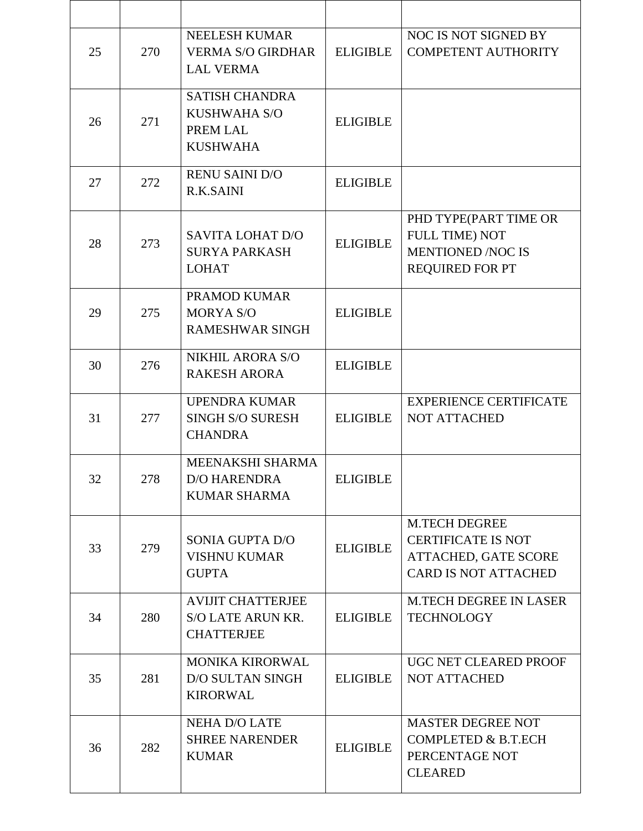| 25 | 270 | <b>NEELESH KUMAR</b><br><b>VERMA S/O GIRDHAR</b><br><b>LAL VERMA</b>        | <b>ELIGIBLE</b> | NOC IS NOT SIGNED BY<br><b>COMPETENT AUTHORITY</b>                                                       |
|----|-----|-----------------------------------------------------------------------------|-----------------|----------------------------------------------------------------------------------------------------------|
| 26 | 271 | <b>SATISH CHANDRA</b><br><b>KUSHWAHA S/O</b><br>PREM LAL<br><b>KUSHWAHA</b> | <b>ELIGIBLE</b> |                                                                                                          |
| 27 | 272 | <b>RENU SAINI D/O</b><br><b>R.K.SAINI</b>                                   | <b>ELIGIBLE</b> |                                                                                                          |
| 28 | 273 | <b>SAVITA LOHAT D/O</b><br><b>SURYA PARKASH</b><br><b>LOHAT</b>             | <b>ELIGIBLE</b> | PHD TYPE(PART TIME OR<br><b>FULL TIME) NOT</b><br><b>MENTIONED /NOC IS</b><br><b>REQUIRED FOR PT</b>     |
| 29 | 275 | PRAMOD KUMAR<br><b>MORYA S/O</b><br><b>RAMESHWAR SINGH</b>                  | <b>ELIGIBLE</b> |                                                                                                          |
| 30 | 276 | NIKHIL ARORA S/O<br><b>RAKESH ARORA</b>                                     | <b>ELIGIBLE</b> |                                                                                                          |
| 31 | 277 | <b>UPENDRA KUMAR</b><br><b>SINGH S/O SURESH</b><br><b>CHANDRA</b>           | <b>ELIGIBLE</b> | <b>EXPERIENCE CERTIFICATE</b><br><b>NOT ATTACHED</b>                                                     |
| 32 | 278 | MEENAKSHI SHARMA<br><b>D/O HARENDRA</b><br><b>KUMAR SHARMA</b>              | <b>ELIGIBLE</b> |                                                                                                          |
| 33 | 279 | SONIA GUPTA D/O<br><b>VISHNU KUMAR</b><br><b>GUPTA</b>                      | <b>ELIGIBLE</b> | M.TECH DEGREE<br><b>CERTIFICATE IS NOT</b><br><b>ATTACHED, GATE SCORE</b><br><b>CARD IS NOT ATTACHED</b> |
| 34 | 280 | <b>AVIJIT CHATTERJEE</b><br><b>S/O LATE ARUN KR.</b><br><b>CHATTERJEE</b>   | <b>ELIGIBLE</b> | <b>M.TECH DEGREE IN LASER</b><br><b>TECHNOLOGY</b>                                                       |
| 35 | 281 | <b>MONIKA KIRORWAL</b><br><b>D/O SULTAN SINGH</b><br><b>KIRORWAL</b>        | <b>ELIGIBLE</b> | UGC NET CLEARED PROOF<br><b>NOT ATTACHED</b>                                                             |
| 36 | 282 | <b>NEHA D/O LATE</b><br><b>SHREE NARENDER</b><br><b>KUMAR</b>               | <b>ELIGIBLE</b> | <b>MASTER DEGREE NOT</b><br><b>COMPLETED &amp; B.T.ECH</b><br>PERCENTAGE NOT<br><b>CLEARED</b>           |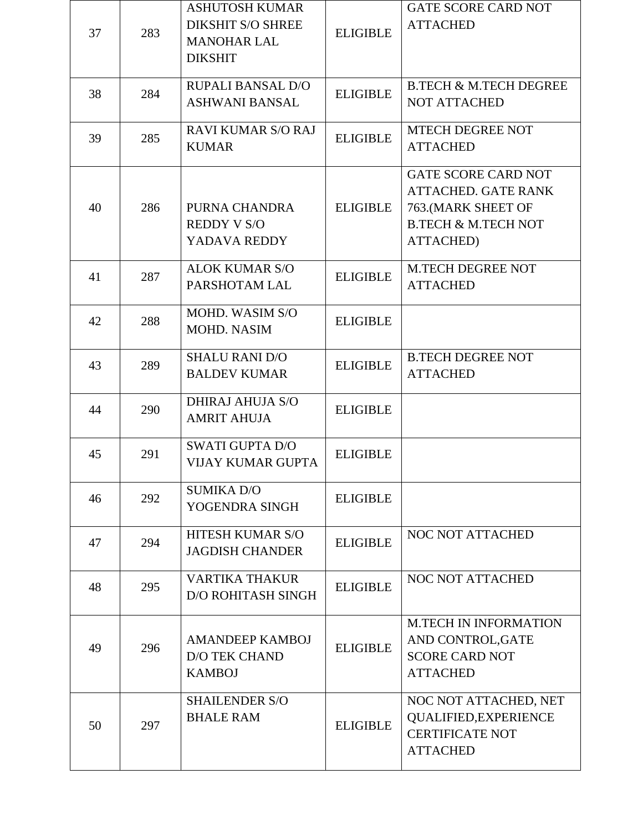| 37 | 283 | <b>ASHUTOSH KUMAR</b><br><b>DIKSHIT S/O SHREE</b><br><b>MANOHAR LAL</b><br><b>DIKSHIT</b> | <b>ELIGIBLE</b> | <b>GATE SCORE CARD NOT</b><br><b>ATTACHED</b>                                                                                         |
|----|-----|-------------------------------------------------------------------------------------------|-----------------|---------------------------------------------------------------------------------------------------------------------------------------|
| 38 | 284 | <b>RUPALI BANSAL D/O</b><br><b>ASHWANI BANSAL</b>                                         | <b>ELIGIBLE</b> | <b>B.TECH &amp; M.TECH DEGREE</b><br><b>NOT ATTACHED</b>                                                                              |
| 39 | 285 | <b>RAVI KUMAR S/O RAJ</b><br><b>KUMAR</b>                                                 | <b>ELIGIBLE</b> | <b>MTECH DEGREE NOT</b><br><b>ATTACHED</b>                                                                                            |
| 40 | 286 | PURNA CHANDRA<br><b>REDDY V S/O</b><br>YADAVA REDDY                                       | <b>ELIGIBLE</b> | <b>GATE SCORE CARD NOT</b><br><b>ATTACHED. GATE RANK</b><br>763. (MARK SHEET OF<br><b>B.TECH &amp; M.TECH NOT</b><br><b>ATTACHED)</b> |
| 41 | 287 | <b>ALOK KUMAR S/O</b><br>PARSHOTAM LAL                                                    | <b>ELIGIBLE</b> | <b>M.TECH DEGREE NOT</b><br><b>ATTACHED</b>                                                                                           |
| 42 | 288 | <b>MOHD. WASIM S/O</b><br><b>MOHD. NASIM</b>                                              | <b>ELIGIBLE</b> |                                                                                                                                       |
| 43 | 289 | <b>SHALU RANI D/O</b><br><b>BALDEV KUMAR</b>                                              | <b>ELIGIBLE</b> | <b>B.TECH DEGREE NOT</b><br><b>ATTACHED</b>                                                                                           |
| 44 | 290 | <b>DHIRAJ AHUJA S/O</b><br><b>AMRIT AHUJA</b>                                             | <b>ELIGIBLE</b> |                                                                                                                                       |
| 45 | 291 | <b>SWATI GUPTA D/O</b><br><b>VIJAY KUMAR GUPTA</b>                                        | <b>ELIGIBLE</b> |                                                                                                                                       |
| 46 | 292 | <b>SUMIKA D/O</b><br>YOGENDRA SINGH                                                       | <b>ELIGIBLE</b> |                                                                                                                                       |
| 47 | 294 | HITESH KUMAR S/O<br><b>JAGDISH CHANDER</b>                                                | <b>ELIGIBLE</b> | NOC NOT ATTACHED                                                                                                                      |
| 48 | 295 | <b>VARTIKA THAKUR</b><br><b>D/O ROHITASH SINGH</b>                                        | <b>ELIGIBLE</b> | <b>NOC NOT ATTACHED</b>                                                                                                               |
| 49 | 296 | <b>AMANDEEP KAMBOJ</b><br><b>D/O TEK CHAND</b><br><b>KAMBOJ</b>                           | <b>ELIGIBLE</b> | <b>M.TECH IN INFORMATION</b><br>AND CONTROL, GATE<br><b>SCORE CARD NOT</b><br><b>ATTACHED</b>                                         |
| 50 | 297 | <b>SHAILENDER S/O</b><br><b>BHALE RAM</b>                                                 | <b>ELIGIBLE</b> | NOC NOT ATTACHED, NET<br><b>QUALIFIED, EXPERIENCE</b><br><b>CERTIFICATE NOT</b><br><b>ATTACHED</b>                                    |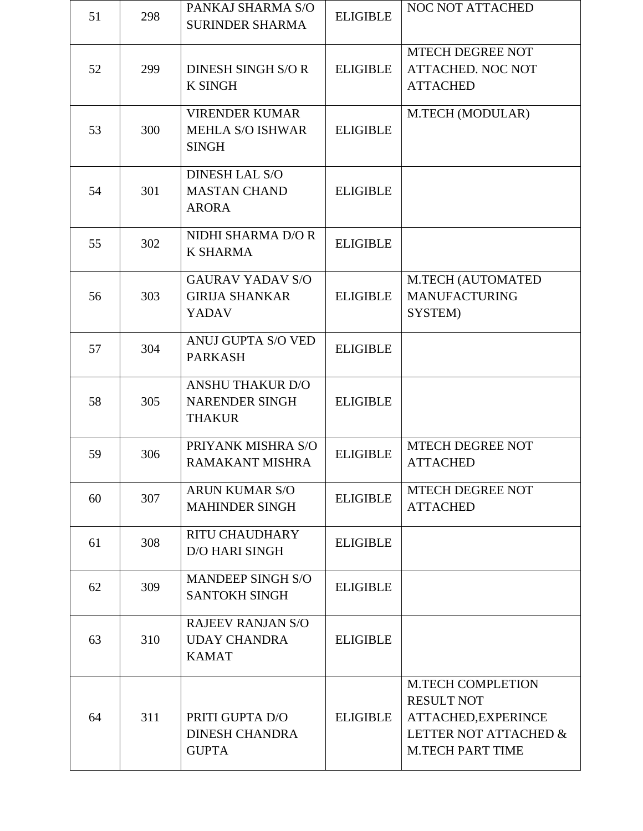| 51 | 298 | PANKAJ SHARMA S/O<br><b>SURINDER SHARMA</b>                       | <b>ELIGIBLE</b> | <b>NOC NOT ATTACHED</b>                                                                                                  |
|----|-----|-------------------------------------------------------------------|-----------------|--------------------------------------------------------------------------------------------------------------------------|
| 52 | 299 | DINESH SINGH S/O R<br><b>K SINGH</b>                              | <b>ELIGIBLE</b> | MTECH DEGREE NOT<br><b>ATTACHED. NOC NOT</b><br><b>ATTACHED</b>                                                          |
| 53 | 300 | <b>VIRENDER KUMAR</b><br><b>MEHLA S/O ISHWAR</b><br><b>SINGH</b>  | <b>ELIGIBLE</b> | M.TECH (MODULAR)                                                                                                         |
| 54 | 301 | <b>DINESH LAL S/O</b><br><b>MASTAN CHAND</b><br><b>ARORA</b>      | <b>ELIGIBLE</b> |                                                                                                                          |
| 55 | 302 | NIDHI SHARMA D/O R<br><b>K SHARMA</b>                             | <b>ELIGIBLE</b> |                                                                                                                          |
| 56 | 303 | <b>GAURAV YADAV S/O</b><br><b>GIRIJA SHANKAR</b><br><b>YADAV</b>  | <b>ELIGIBLE</b> | <b>M.TECH (AUTOMATED</b><br><b>MANUFACTURING</b><br>SYSTEM)                                                              |
| 57 | 304 | ANUJ GUPTA S/O VED<br><b>PARKASH</b>                              | <b>ELIGIBLE</b> |                                                                                                                          |
| 58 | 305 | <b>ANSHU THAKUR D/O</b><br><b>NARENDER SINGH</b><br><b>THAKUR</b> | <b>ELIGIBLE</b> |                                                                                                                          |
| 59 | 306 | PRIYANK MISHRA S/O<br><b>RAMAKANT MISHRA</b>                      | <b>ELIGIBLE</b> | MTECH DEGREE NOT<br><b>ATTACHED</b>                                                                                      |
| 60 | 307 | <b>ARUN KUMAR S/O</b><br><b>MAHINDER SINGH</b>                    | <b>ELIGIBLE</b> | <b>MTECH DEGREE NOT</b><br><b>ATTACHED</b>                                                                               |
| 61 | 308 | <b>RITU CHAUDHARY</b><br><b>D/O HARI SINGH</b>                    | <b>ELIGIBLE</b> |                                                                                                                          |
| 62 | 309 | <b>MANDEEP SINGH S/O</b><br><b>SANTOKH SINGH</b>                  | <b>ELIGIBLE</b> |                                                                                                                          |
| 63 | 310 | <b>RAJEEV RANJAN S/O</b><br><b>UDAY CHANDRA</b><br><b>KAMAT</b>   | <b>ELIGIBLE</b> |                                                                                                                          |
| 64 | 311 | PRITI GUPTA D/O<br><b>DINESH CHANDRA</b><br><b>GUPTA</b>          | <b>ELIGIBLE</b> | <b>M.TECH COMPLETION</b><br><b>RESULT NOT</b><br>ATTACHED, EXPERINCE<br>LETTER NOT ATTACHED &<br><b>M.TECH PART TIME</b> |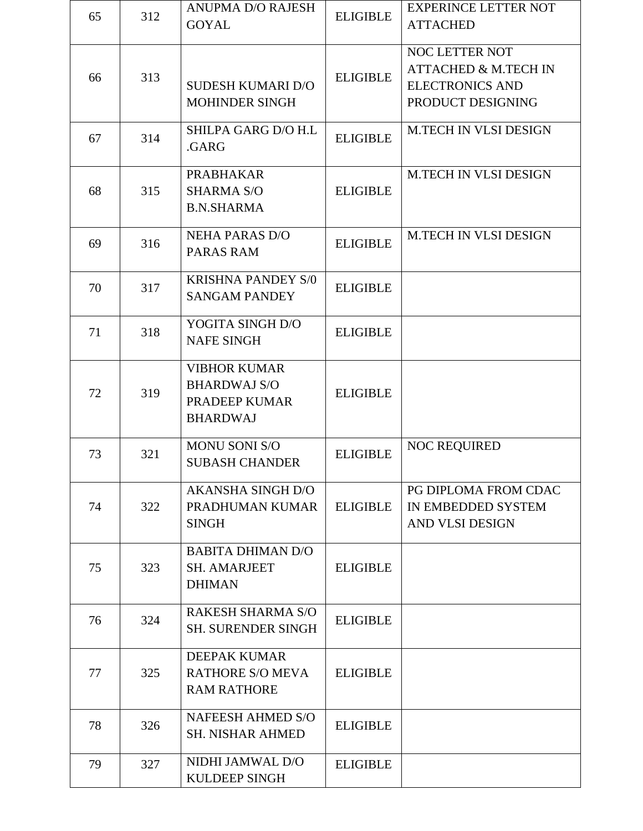| 65 | 312 | <b>ANUPMA D/O RAJESH</b><br><b>GOYAL</b>                                       | <b>ELIGIBLE</b> | <b>EXPERINCE LETTER NOT</b><br><b>ATTACHED</b>                                                   |
|----|-----|--------------------------------------------------------------------------------|-----------------|--------------------------------------------------------------------------------------------------|
| 66 | 313 | <b>SUDESH KUMARI D/O</b><br>MOHINDER SINGH                                     | <b>ELIGIBLE</b> | NOC LETTER NOT<br><b>ATTACHED &amp; M.TECH IN</b><br><b>ELECTRONICS AND</b><br>PRODUCT DESIGNING |
| 67 | 314 | SHILPA GARG D/O H.L<br>.GARG                                                   | <b>ELIGIBLE</b> | <b>M.TECH IN VLSI DESIGN</b>                                                                     |
| 68 | 315 | <b>PRABHAKAR</b><br><b>SHARMA S/O</b><br><b>B.N.SHARMA</b>                     | <b>ELIGIBLE</b> | <b>M.TECH IN VLSI DESIGN</b>                                                                     |
| 69 | 316 | <b>NEHA PARAS D/O</b><br>PARAS RAM                                             | <b>ELIGIBLE</b> | <b>M.TECH IN VLSI DESIGN</b>                                                                     |
| 70 | 317 | <b>KRISHNA PANDEY S/0</b><br><b>SANGAM PANDEY</b>                              | <b>ELIGIBLE</b> |                                                                                                  |
| 71 | 318 | YOGITA SINGH D/O<br><b>NAFE SINGH</b>                                          | <b>ELIGIBLE</b> |                                                                                                  |
| 72 | 319 | <b>VIBHOR KUMAR</b><br><b>BHARDWAJ S/O</b><br>PRADEEP KUMAR<br><b>BHARDWAJ</b> | <b>ELIGIBLE</b> |                                                                                                  |
| 73 | 321 | <b>MONU SONI S/O</b><br><b>SUBASH CHANDER</b>                                  | <b>ELIGIBLE</b> | <b>NOC REQUIRED</b>                                                                              |
| 74 | 322 | <b>AKANSHA SINGH D/O</b><br>PRADHUMAN KUMAR<br><b>SINGH</b>                    | <b>ELIGIBLE</b> | PG DIPLOMA FROM CDAC<br>IN EMBEDDED SYSTEM<br>AND VLSI DESIGN                                    |
| 75 | 323 | <b>BABITA DHIMAN D/O</b><br><b>SH. AMARJEET</b><br><b>DHIMAN</b>               | <b>ELIGIBLE</b> |                                                                                                  |
| 76 | 324 | <b>RAKESH SHARMA S/O</b><br><b>SH. SURENDER SINGH</b>                          | <b>ELIGIBLE</b> |                                                                                                  |
| 77 | 325 | <b>DEEPAK KUMAR</b><br><b>RATHORE S/O MEVA</b><br><b>RAM RATHORE</b>           | <b>ELIGIBLE</b> |                                                                                                  |
| 78 | 326 | <b>NAFEESH AHMED S/O</b><br><b>SH. NISHAR AHMED</b>                            | <b>ELIGIBLE</b> |                                                                                                  |
| 79 | 327 | NIDHI JAMWAL D/O<br><b>KULDEEP SINGH</b>                                       | <b>ELIGIBLE</b> |                                                                                                  |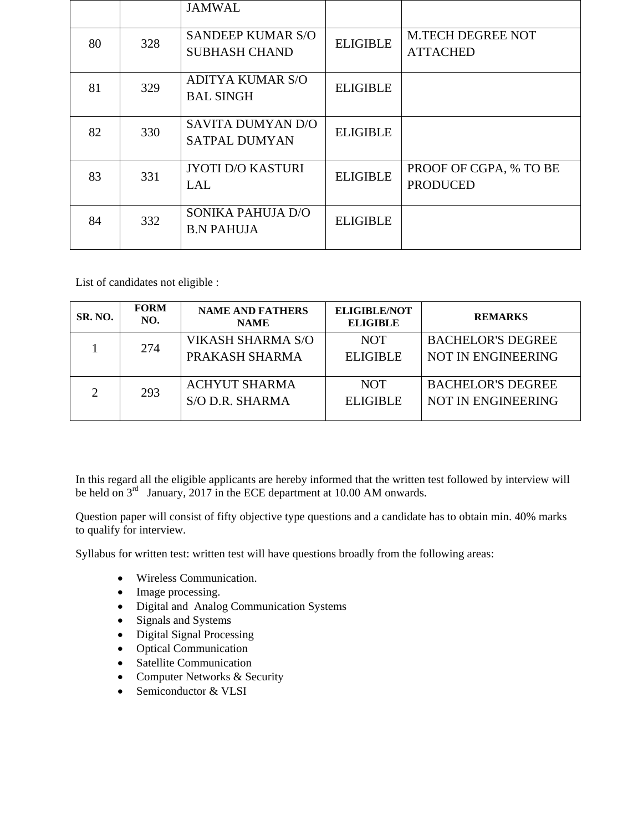|    |     | <b>JAMWAL</b>                                    |                 |                                             |
|----|-----|--------------------------------------------------|-----------------|---------------------------------------------|
| 80 | 328 | <b>SANDEEP KUMAR S/O</b><br><b>SUBHASH CHAND</b> | <b>ELIGIBLE</b> | <b>M.TECH DEGREE NOT</b><br><b>ATTACHED</b> |
| 81 | 329 | <b>ADITYA KUMAR S/O</b><br><b>BAL SINGH</b>      | <b>ELIGIBLE</b> |                                             |
| 82 | 330 | SAVITA DUMYAN D/O<br><b>SATPAL DUMYAN</b>        | <b>ELIGIBLE</b> |                                             |
| 83 | 331 | <b>JYOTI D/O KASTURI</b><br><b>LAL</b>           | <b>ELIGIBLE</b> | PROOF OF CGPA, % TO BE<br><b>PRODUCED</b>   |
| 84 | 332 | SONIKA PAHUJA D/O<br><b>B.N PAHUJA</b>           | <b>ELIGIBLE</b> |                                             |

List of candidates not eligible :

| <b>SR. NO.</b> | <b>FORM</b><br>NO. | <b>NAME AND FATHERS</b><br><b>NAME</b>  | <b>ELIGIBLE/NOT</b><br><b>ELIGIBLE</b> | <b>REMARKS</b>                                        |
|----------------|--------------------|-----------------------------------------|----------------------------------------|-------------------------------------------------------|
|                | 274                | VIKASH SHARMA S/O<br>PRAKASH SHARMA     | <b>NOT</b><br><b>ELIGIBLE</b>          | <b>BACHELOR'S DEGREE</b><br><b>NOT IN ENGINEERING</b> |
|                | 293                | <b>ACHYUT SHARMA</b><br>S/O D.R. SHARMA | <b>NOT</b><br><b>ELIGIBLE</b>          | <b>BACHELOR'S DEGREE</b><br><b>NOT IN ENGINEERING</b> |

In this regard all the eligible applicants are hereby informed that the written test followed by interview will be held on  $3^{rd}$  January, 2017 in the ECE department at 10.00 AM onwards.

Question paper will consist of fifty objective type questions and a candidate has to obtain min. 40% marks to qualify for interview.

Syllabus for written test: written test will have questions broadly from the following areas:

- Wireless Communication.
- Image processing.
- Digital and Analog Communication Systems
- Signals and Systems
- Digital Signal Processing
- Optical Communication
- Satellite Communication
- Computer Networks & Security
- Semiconductor & VLSI